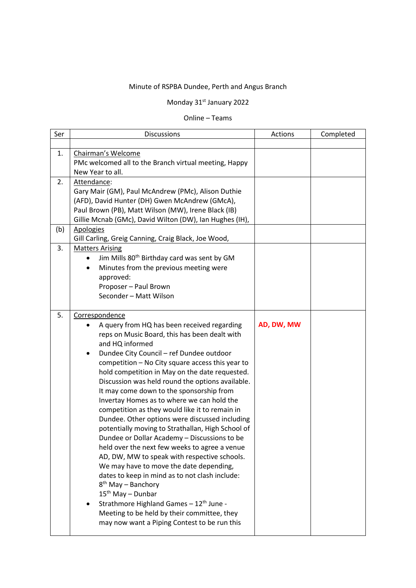## Minute of RSPBA Dundee, Perth and Angus Branch

## Monday 31st January 2022

## Online – Teams

| Ser | <b>Discussions</b>                                                                                                                                                                                                                                                                                                                                                                                                                                                                                                                                                                                                                                                                                                                                                                                                                                                                                                                                                                                                                                           | Actions    | Completed |
|-----|--------------------------------------------------------------------------------------------------------------------------------------------------------------------------------------------------------------------------------------------------------------------------------------------------------------------------------------------------------------------------------------------------------------------------------------------------------------------------------------------------------------------------------------------------------------------------------------------------------------------------------------------------------------------------------------------------------------------------------------------------------------------------------------------------------------------------------------------------------------------------------------------------------------------------------------------------------------------------------------------------------------------------------------------------------------|------------|-----------|
|     |                                                                                                                                                                                                                                                                                                                                                                                                                                                                                                                                                                                                                                                                                                                                                                                                                                                                                                                                                                                                                                                              |            |           |
| 1.  | Chairman's Welcome                                                                                                                                                                                                                                                                                                                                                                                                                                                                                                                                                                                                                                                                                                                                                                                                                                                                                                                                                                                                                                           |            |           |
|     | PMc welcomed all to the Branch virtual meeting, Happy                                                                                                                                                                                                                                                                                                                                                                                                                                                                                                                                                                                                                                                                                                                                                                                                                                                                                                                                                                                                        |            |           |
|     | New Year to all.                                                                                                                                                                                                                                                                                                                                                                                                                                                                                                                                                                                                                                                                                                                                                                                                                                                                                                                                                                                                                                             |            |           |
| 2.  | Attendance:                                                                                                                                                                                                                                                                                                                                                                                                                                                                                                                                                                                                                                                                                                                                                                                                                                                                                                                                                                                                                                                  |            |           |
|     | Gary Mair (GM), Paul McAndrew (PMc), Alison Duthie                                                                                                                                                                                                                                                                                                                                                                                                                                                                                                                                                                                                                                                                                                                                                                                                                                                                                                                                                                                                           |            |           |
|     | (AFD), David Hunter (DH) Gwen McAndrew (GMcA),                                                                                                                                                                                                                                                                                                                                                                                                                                                                                                                                                                                                                                                                                                                                                                                                                                                                                                                                                                                                               |            |           |
|     | Paul Brown (PB), Matt Wilson (MW), Irene Black (IB)                                                                                                                                                                                                                                                                                                                                                                                                                                                                                                                                                                                                                                                                                                                                                                                                                                                                                                                                                                                                          |            |           |
|     | Gillie Mcnab (GMc), David Wilton (DW), Ian Hughes (IH),                                                                                                                                                                                                                                                                                                                                                                                                                                                                                                                                                                                                                                                                                                                                                                                                                                                                                                                                                                                                      |            |           |
| (b) | <b>Apologies</b>                                                                                                                                                                                                                                                                                                                                                                                                                                                                                                                                                                                                                                                                                                                                                                                                                                                                                                                                                                                                                                             |            |           |
|     | Gill Carling, Greig Canning, Craig Black, Joe Wood,                                                                                                                                                                                                                                                                                                                                                                                                                                                                                                                                                                                                                                                                                                                                                                                                                                                                                                                                                                                                          |            |           |
| 3.  | <b>Matters Arising</b>                                                                                                                                                                                                                                                                                                                                                                                                                                                                                                                                                                                                                                                                                                                                                                                                                                                                                                                                                                                                                                       |            |           |
|     | Jim Mills 80 <sup>th</sup> Birthday card was sent by GM                                                                                                                                                                                                                                                                                                                                                                                                                                                                                                                                                                                                                                                                                                                                                                                                                                                                                                                                                                                                      |            |           |
|     | Minutes from the previous meeting were<br>approved:                                                                                                                                                                                                                                                                                                                                                                                                                                                                                                                                                                                                                                                                                                                                                                                                                                                                                                                                                                                                          |            |           |
|     | Proposer - Paul Brown                                                                                                                                                                                                                                                                                                                                                                                                                                                                                                                                                                                                                                                                                                                                                                                                                                                                                                                                                                                                                                        |            |           |
|     | Seconder - Matt Wilson                                                                                                                                                                                                                                                                                                                                                                                                                                                                                                                                                                                                                                                                                                                                                                                                                                                                                                                                                                                                                                       |            |           |
|     |                                                                                                                                                                                                                                                                                                                                                                                                                                                                                                                                                                                                                                                                                                                                                                                                                                                                                                                                                                                                                                                              |            |           |
| 5.  | Correspondence                                                                                                                                                                                                                                                                                                                                                                                                                                                                                                                                                                                                                                                                                                                                                                                                                                                                                                                                                                                                                                               |            |           |
|     | A query from HQ has been received regarding<br>reps on Music Board, this has been dealt with<br>and HQ informed<br>Dundee City Council - ref Dundee outdoor<br>$\bullet$<br>competition - No City square access this year to<br>hold competition in May on the date requested.<br>Discussion was held round the options available.<br>It may come down to the sponsorship from<br>Invertay Homes as to where we can hold the<br>competition as they would like it to remain in<br>Dundee. Other options were discussed including<br>potentially moving to Strathallan, High School of<br>Dundee or Dollar Academy - Discussions to be<br>held over the next few weeks to agree a venue<br>AD, DW, MW to speak with respective schools.<br>We may have to move the date depending,<br>dates to keep in mind as to not clash include:<br>8 <sup>th</sup> May - Banchory<br>15 <sup>th</sup> May - Dunbar<br>Strathmore Highland Games - 12 <sup>th</sup> June -<br>Meeting to be held by their committee, they<br>may now want a Piping Contest to be run this | AD, DW, MW |           |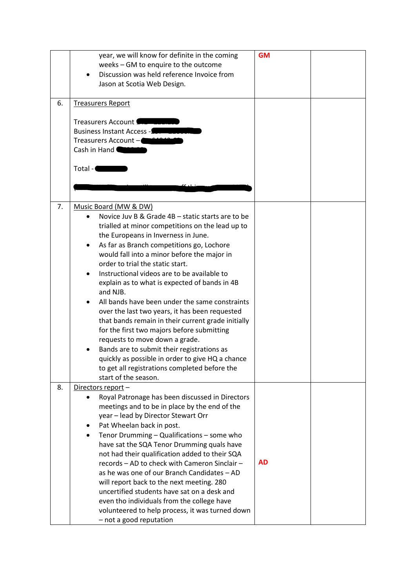| 6. | year, we will know for definite in the coming<br>weeks - GM to enquire to the outcome<br>Discussion was held reference Invoice from<br>Jason at Scotia Web Design.<br><b>Treasurers Report</b><br>Treasurers Account                                                                                                                                                                                                                                                                                                                                                                                                                                                                                                                                                                                                                                | <b>GM</b> |  |
|----|-----------------------------------------------------------------------------------------------------------------------------------------------------------------------------------------------------------------------------------------------------------------------------------------------------------------------------------------------------------------------------------------------------------------------------------------------------------------------------------------------------------------------------------------------------------------------------------------------------------------------------------------------------------------------------------------------------------------------------------------------------------------------------------------------------------------------------------------------------|-----------|--|
|    | Business Instant Access -2. 2020<br>Treasurers Account -<br>Cash in Hand<br>Total -                                                                                                                                                                                                                                                                                                                                                                                                                                                                                                                                                                                                                                                                                                                                                                 |           |  |
| 7. | Music Board (MW & DW)<br>Novice Juv B & Grade 4B - static starts are to be<br>trialled at minor competitions on the lead up to<br>the Europeans in Inverness in June.<br>As far as Branch competitions go, Lochore<br>$\bullet$<br>would fall into a minor before the major in<br>order to trial the static start.<br>Instructional videos are to be available to<br>explain as to what is expected of bands in 4B<br>and NJB.<br>All bands have been under the same constraints<br>over the last two years, it has been requested<br>that bands remain in their current grade initially<br>for the first two majors before submitting<br>requests to move down a grade.<br>Bands are to submit their registrations as<br>quickly as possible in order to give HQ a chance<br>to get all registrations completed before the<br>start of the season. |           |  |
| 8. | Directors report -<br>Royal Patronage has been discussed in Directors<br>meetings and to be in place by the end of the<br>year - lead by Director Stewart Orr<br>Pat Wheelan back in post.<br>٠<br>Tenor Drumming - Qualifications - some who<br>٠<br>have sat the SQA Tenor Drumming quals have<br>not had their qualification added to their SQA<br>records - AD to check with Cameron Sinclair -<br>as he was one of our Branch Candidates - AD<br>will report back to the next meeting. 280<br>uncertified students have sat on a desk and<br>even tho individuals from the college have<br>volunteered to help process, it was turned down<br>- not a good reputation                                                                                                                                                                          | <b>AD</b> |  |